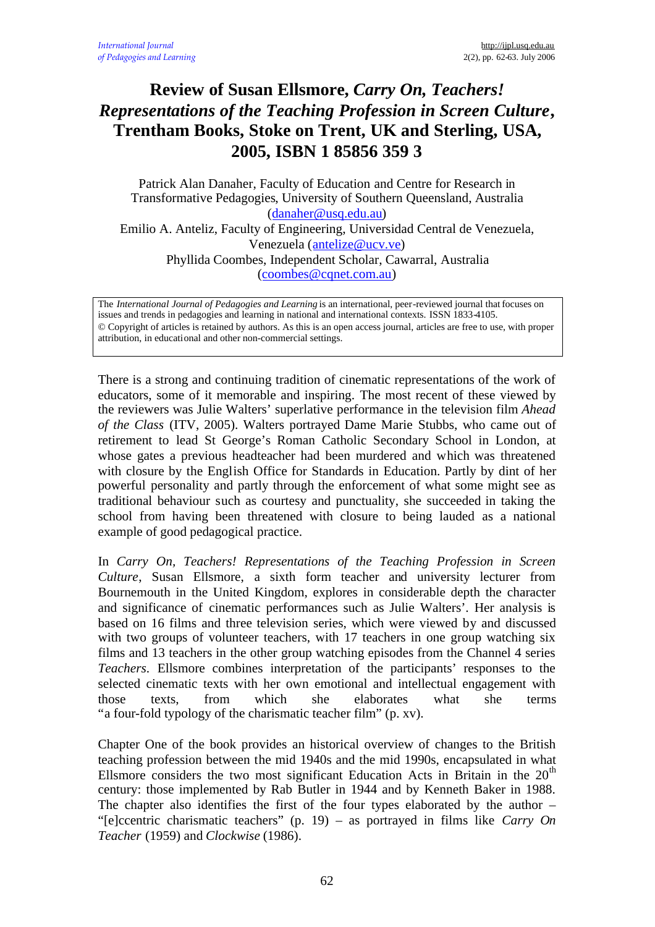## **Review of Susan Ellsmore,** *Carry On, Teachers! Representations of the Teaching Profession in Screen Culture***, Trentham Books, Stoke on Trent, UK and Sterling, USA, 2005, ISBN 1 85856 359 3**

Patrick Alan Danaher, Faculty of Education and Centre for Research in Transformative Pedagogies, University of Southern Queensland, Australia (danaher@usq.edu.au) Emilio A. Anteliz, Faculty of Engineering, Universidad Central de Venezuela,

Venezuela (antelize@ucv.ve)

Phyllida Coombes, Independent Scholar, Cawarral, Australia (coombes@cqnet.com.au)

The *International Journal of Pedagogies and Learning* is an international, peer-reviewed journal that focuses on issues and trends in pedagogies and learning in national and international contexts. ISSN 1833-4105. © Copyright of articles is retained by authors. As this is an open access journal, articles are free to use, with proper attribution, in educational and other non-commercial settings.

There is a strong and continuing tradition of cinematic representations of the work of educators, some of it memorable and inspiring. The most recent of these viewed by the reviewers was Julie Walters' superlative performance in the television film *Ahead of the Class* (ITV, 2005). Walters portrayed Dame Marie Stubbs, who came out of retirement to lead St George's Roman Catholic Secondary School in London, at whose gates a previous headteacher had been murdered and which was threatened with closure by the English Office for Standards in Education. Partly by dint of her powerful personality and partly through the enforcement of what some might see as traditional behaviour such as courtesy and punctuality, she succeeded in taking the school from having been threatened with closure to being lauded as a national example of good pedagogical practice.

In *Carry On, Teachers! Representations of the Teaching Profession in Screen Culture*, Susan Ellsmore, a sixth form teacher and university lecturer from Bournemouth in the United Kingdom, explores in considerable depth the character and significance of cinematic performances such as Julie Walters'. Her analysis is based on 16 films and three television series, which were viewed by and discussed with two groups of volunteer teachers, with 17 teachers in one group watching six films and 13 teachers in the other group watching episodes from the Channel 4 series *Teachers*. Ellsmore combines interpretation of the participants' responses to the selected cinematic texts with her own emotional and intellectual engagement with those texts, from which she elaborates what she terms "a four-fold typology of the charismatic teacher film" (p. xv).

Chapter One of the book provides an historical overview of changes to the British teaching profession between the mid 1940s and the mid 1990s, encapsulated in what Ellsmore considers the two most significant Education Acts in Britain in the  $20<sup>th</sup>$ century: those implemented by Rab Butler in 1944 and by Kenneth Baker in 1988. The chapter also identifies the first of the four types elaborated by the author – "[e]ccentric charismatic teachers" (p. 19) – as portrayed in films like *Carry On Teacher* (1959) and *Clockwise* (1986).